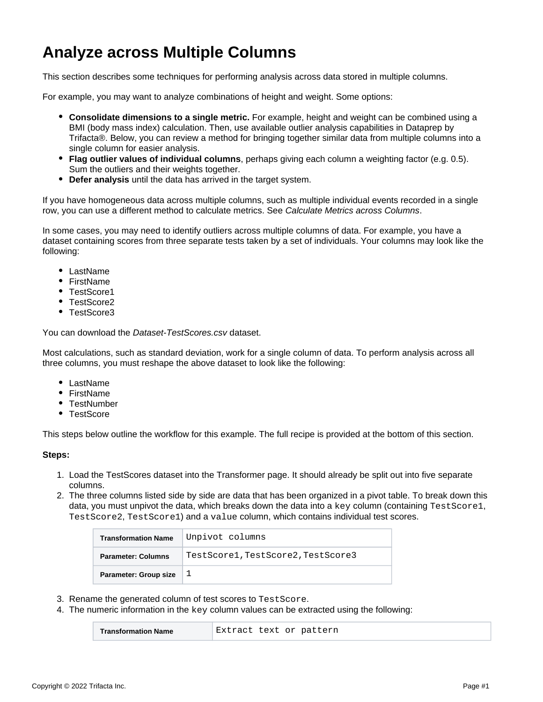## **Analyze across Multiple Columns**

This section describes some techniques for performing analysis across data stored in multiple columns.

For example, you may want to analyze combinations of height and weight. Some options:

- **Consolidate dimensions to a single metric.** For example, height and weight can be combined using a BMI (body mass index) calculation. Then, use available outlier analysis capabilities in Dataprep by Trifacta®. Below, you can review a method for bringing together similar data from multiple columns into a single column for easier analysis.
- **Flag outlier values of individual columns**, perhaps giving each column a weighting factor (e.g. 0.5). Sum the outliers and their weights together.
- **Defer analysis** until the data has arrived in the target system.

If you have homogeneous data across multiple columns, such as multiple individual events recorded in a single row, you can use a different method to calculate metrics. See [Calculate Metrics across Columns](https://docs.trifacta.com/display/DP/Calculate+Metrics+across+Columns).

In some cases, you may need to identify outliers across multiple columns of data. For example, you have a dataset containing scores from three separate tests taken by a set of individuals. Your columns may look like the following:

- LastName
- FirstName
- TestScore1
- TestScore2
- TestScore3

You can download the [Dataset-TestScores.csv](https://docs.trifacta.com/download/attachments/160411716/Dataset-TestScores.csv?version=1&modificationDate=1650426063837&api=v2) dataset.

Most calculations, such as standard deviation, work for a single column of data. To perform analysis across all three columns, you must reshape the above dataset to look like the following:

- LastName
- FirstName
- TestNumber
- TestScore

This steps below outline the workflow for this example. The full recipe is provided at the bottom of this section.

## **Steps:**

- 1. Load the TestScores dataset into the Transformer page. It should already be split out into five separate columns.
- 2. The three columns listed side by side are data that has been organized in a pivot table. To break down this data, you must unpivot the data, which breaks down the data into a key column (containing TestScore1, TestScore2, TestScore1) and a value column, which contains individual test scores.

| <b>Transformation Name</b>   | Unpivot columns                    |  |
|------------------------------|------------------------------------|--|
| <b>Parameter: Columns</b>    | TestScore1, TestScore2, TestScore3 |  |
| <b>Parameter: Group size</b> |                                    |  |

- 3. Rename the generated column of test scores to TestScore.
- 4. The numeric information in the  $\text{key}$  column values can be extracted using the following:

| Extract text or pattern<br><b>Transformation Name</b> |  |  |  |
|-------------------------------------------------------|--|--|--|
|-------------------------------------------------------|--|--|--|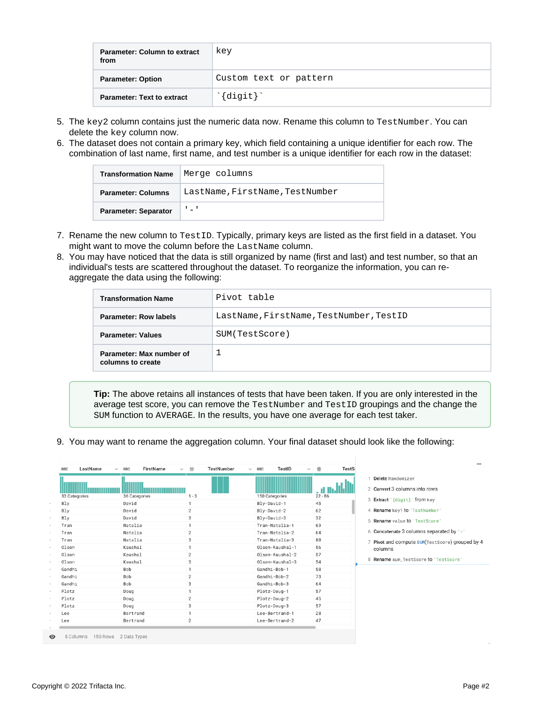| Parameter: Column to extract<br>from | key                                 |
|--------------------------------------|-------------------------------------|
| <b>Parameter: Option</b>             | Custom text or pattern              |
| <b>Parameter: Text to extract</b>    | $\hat{\cdot}$ {digit} $\hat{\cdot}$ |

- 5. The key2 column contains just the numeric data now. Rename this column to TestNumber. You can delete the key column now.
- 6. The dataset does not contain a primary key, which field containing a unique identifier for each row. The combination of last name, first name, and test number is a unique identifier for each row in the dataset:

| <b>Transformation Name</b>  | Merge columns                   |  |
|-----------------------------|---------------------------------|--|
| <b>Parameter: Columns</b>   | LastName, FirstName, TestNumber |  |
| <b>Parameter: Separator</b> | $\mathbf{I} = \mathbf{I}$       |  |

- 7. Rename the new column to TestID. Typically, primary keys are listed as the first field in a dataset. You might want to move the column before the LastName column.
- 8. You may have noticed that the data is still organized by name (first and last) and test number, so that an individual's tests are scattered throughout the dataset. To reorganize the information, you can reaggregate the data using the following:

| <b>Transformation Name</b>                                              | Pivot table    |  |
|-------------------------------------------------------------------------|----------------|--|
| LastName, FirstName, TestNumber, TestID<br><b>Parameter: Row labels</b> |                |  |
| <b>Parameter: Values</b>                                                | SUM(TestScore) |  |
| Parameter: Max number of<br>columns to create                           |                |  |

**Tip:** The above retains all instances of tests that have been taken. If you are only interested in the average test score, you can remove the TestNumber and TestID groupings and the change the SUM function to AVERAGE. In the results, you have one average for each test taker.

9. You may want to rename the aggregation column. Your final dataset should look like the following:

|               |               |                |                 |           | Delete Randomizer                               |
|---------------|---------------|----------------|-----------------|-----------|-------------------------------------------------|
| 33 Categories | 36 Categories | $1 - 3$        | 150 Categories  | $22 - 86$ | 2 Convert 3 columns into rows                   |
| Bly           | David         |                | Bly-David-1     | 45        | 3 Extract '{digit}' from key                    |
| Bly           | David         | $\overline{2}$ | Blv-David-2     | 62        | 4 Rename key1 to 'TestNumber'                   |
| Bly           | David         | 3              | Bly-David-3     | 32        | 5 Rename value to 'TestScore'                   |
| Tran          | Natalia       | 1              | Tran-Natalia-1  | 69        |                                                 |
| Tran          | Natalia       | $\overline{2}$ | Tran-Natalia-2  | 64        | 6 Concatenate 3 columns separated by '-'        |
| Tran          | Natalia       | 3              | Tran-Natalia-3  | 80        | 7 Pivot and compute SUM(TestScore) grouped by 4 |
| 01son         | Kaushal       |                | Olson-Kaushal-1 | 56        | columns                                         |
| Olson         | Kaushal       | $\overline{2}$ | Olson-Kaushal-2 | 57        |                                                 |
| Olson         | Kaushal       | 3              | Olson-Kaushal-3 | 54        | 8 Rename sum_TestScore to 'TestScore'           |
| Gandhi        | Bob           | 1.             | Gandhi-Bob-1    | 58        |                                                 |
| Gandhi        | Bob           | $\overline{2}$ | Gandhi-Bob-2    | 73        |                                                 |
| Gandhi        | Bob           | 3              | Gandhi-Bob-3    | 64        |                                                 |
| Plotz         | Doug          | 1              | Plotz-Doug-1    | 57        |                                                 |
| Plotz         | Doug          | $\overline{2}$ | Plotz-Doug-2    | 45        |                                                 |
| Plotz         | Doug          | 3              | Plotz-Doug-3    | 57        |                                                 |
| Lee           | Bertrand      |                | Lee-Bertrand-1  | 28        |                                                 |
| Lee           | Bertrand      | $\overline{2}$ | Lee-Bertrand-2  | 47        |                                                 |